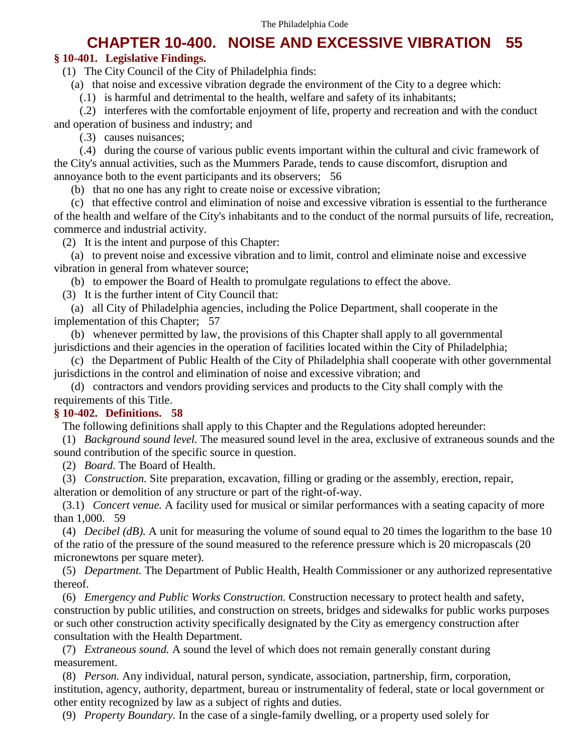# **CHAPTER 10-400. NOISE AND EXCESSIVE VIBRATION 55**

## **§ 10-401. Legislative Findings.**

(1) The City Council of the City of Philadelphia finds:

(a) that noise and excessive vibration degrade the environment of the City to a degree which:

(.1) is harmful and detrimental to the health, welfare and safety of its inhabitants;

(.2) interferes with the comfortable enjoyment of life, property and recreation and with the conduct and operation of business and industry; and

(.3) causes nuisances;

(.4) during the course of various public events important within the cultural and civic framework of the City's annual activities, such as the Mummers Parade, tends to cause discomfort, disruption and annoyance both to the event participants and its observers; 56

(b) that no one has any right to create noise or excessive vibration;

(c) that effective control and elimination of noise and excessive vibration is essential to the furtherance of the health and welfare of the City's inhabitants and to the conduct of the normal pursuits of life, recreation, commerce and industrial activity.

(2) It is the intent and purpose of this Chapter:

(a) to prevent noise and excessive vibration and to limit, control and eliminate noise and excessive vibration in general from whatever source;

(b) to empower the Board of Health to promulgate regulations to effect the above.

(3) It is the further intent of City Council that:

(a) all City of Philadelphia agencies, including the Police Department, shall cooperate in the implementation of this Chapter; 57

(b) whenever permitted by law, the provisions of this Chapter shall apply to all governmental jurisdictions and their agencies in the operation of facilities located within the City of Philadelphia;

(c) the Department of Public Health of the City of Philadelphia shall cooperate with other governmental jurisdictions in the control and elimination of noise and excessive vibration; and

(d) contractors and vendors providing services and products to the City shall comply with the requirements of this Title.

## **§ 10-402. Definitions. 58**

The following definitions shall apply to this Chapter and the Regulations adopted hereunder:

(1) *Background sound level.* The measured sound level in the area, exclusive of extraneous sounds and the sound contribution of the specific source in question.

(2) *Board.* The Board of Health.

(3) *Construction.* Site preparation, excavation, filling or grading or the assembly, erection, repair, alteration or demolition of any structure or part of the right-of-way.

(3.1) *Concert venue.* A facility used for musical or similar performances with a seating capacity of more than 1,000. 59

(4) *Decibel (dB).* A unit for measuring the volume of sound equal to 20 times the logarithm to the base 10 of the ratio of the pressure of the sound measured to the reference pressure which is 20 micropascals (20 micronewtons per square meter).

(5) *Department.* The Department of Public Health, Health Commissioner or any authorized representative thereof.

(6) *Emergency and Public Works Construction.* Construction necessary to protect health and safety, construction by public utilities, and construction on streets, bridges and sidewalks for public works purposes or such other construction activity specifically designated by the City as emergency construction after consultation with the Health Department.

(7) *Extraneous sound.* A sound the level of which does not remain generally constant during measurement.

(8) *Person.* Any individual, natural person, syndicate, association, partnership, firm, corporation, institution, agency, authority, department, bureau or instrumentality of federal, state or local government or other entity recognized by law as a subject of rights and duties.

(9) *Property Boundary.* In the case of a single-family dwelling, or a property used solely for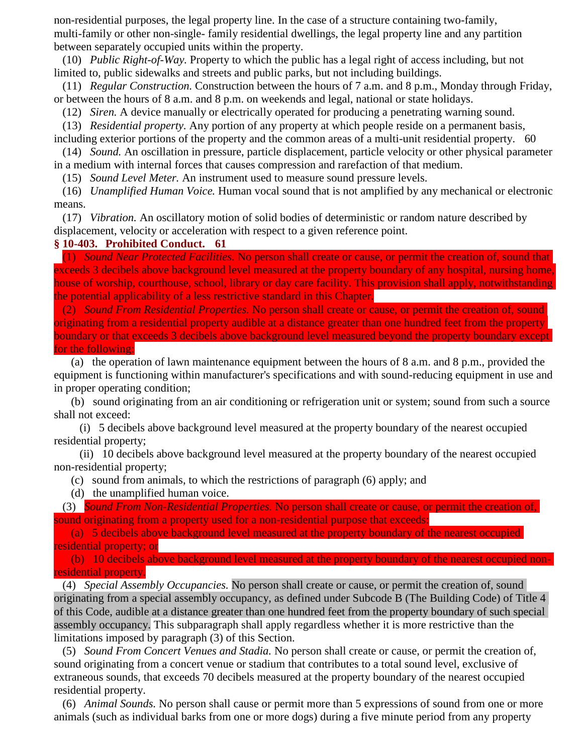non-residential purposes, the legal property line. In the case of a structure containing two-family, multi-family or other non-single- family residential dwellings, the legal property line and any partition between separately occupied units within the property.

(10) *Public Right-of-Way.* Property to which the public has a legal right of access including, but not limited to, public sidewalks and streets and public parks, but not including buildings.

(11) *Regular Construction.* Construction between the hours of 7 a.m. and 8 p.m., Monday through Friday, or between the hours of 8 a.m. and 8 p.m. on weekends and legal, national or state holidays.

(12) *Siren.* A device manually or electrically operated for producing a penetrating warning sound.

(13) *Residential property.* Any portion of any property at which people reside on a permanent basis, including exterior portions of the property and the common areas of a multi-unit residential property. 60

(14) *Sound.* An oscillation in pressure, particle displacement, particle velocity or other physical parameter in a medium with internal forces that causes compression and rarefaction of that medium.

(15) *Sound Level Meter.* An instrument used to measure sound pressure levels.

(16) *Unamplified Human Voice.* Human vocal sound that is not amplified by any mechanical or electronic means.

(17) *Vibration.* An oscillatory motion of solid bodies of deterministic or random nature described by displacement, velocity or acceleration with respect to a given reference point.

#### **§ 10-403. Prohibited Conduct. 61**

(1) *Sound Near Protected Facilities.* No person shall create or cause, or permit the creation of, sound that exceeds 3 decibels above background level measured at the property boundary of any hospital, nursing home, house of worship, courthouse, school, library or day care facility. This provision shall apply, notwithstanding the potential applicability of a less restrictive standard in this Chapter.

(2) *Sound From Residential Properties.* No person shall create or cause, or permit the creation of, sound originating from a residential property audible at a distance greater than one hundred feet from the property boundary or that exceeds 3 decibels above background level measured beyond the property boundary except for the following:

(a) the operation of lawn maintenance equipment between the hours of 8 a.m. and 8 p.m., provided the equipment is functioning within manufacturer's specifications and with sound-reducing equipment in use and in proper operating condition;

(b) sound originating from an air conditioning or refrigeration unit or system; sound from such a source shall not exceed:

(i) 5 decibels above background level measured at the property boundary of the nearest occupied residential property;

(ii) 10 decibels above background level measured at the property boundary of the nearest occupied non-residential property;

(c) sound from animals, to which the restrictions of paragraph (6) apply; and

(d) the unamplified human voice.

(3) *Sound From Non-Residential Properties.* No person shall create or cause, or permit the creation of, sound originating from a property used for a non-residential purpose that exceeds:

(a) 5 decibels above background level measured at the property boundary of the nearest occupied residential property; or

(b) 10 decibels above background level measured at the property boundary of the nearest occupied nonresidential property.

(4) *Special Assembly Occupancies.* No person shall create or cause, or permit the creation of, sound originating from a special assembly occupancy, as defined under Subcode B (The Building Code) of Title 4 of this Code, audible at a distance greater than one hundred feet from the property boundary of such special assembly occupancy. This subparagraph shall apply regardless whether it is more restrictive than the limitations imposed by paragraph (3) of this Section.

(5) *Sound From Concert Venues and Stadia.* No person shall create or cause, or permit the creation of, sound originating from a concert venue or stadium that contributes to a total sound level, exclusive of extraneous sounds, that exceeds 70 decibels measured at the property boundary of the nearest occupied residential property.

(6) *Animal Sounds.* No person shall cause or permit more than 5 expressions of sound from one or more animals (such as individual barks from one or more dogs) during a five minute period from any property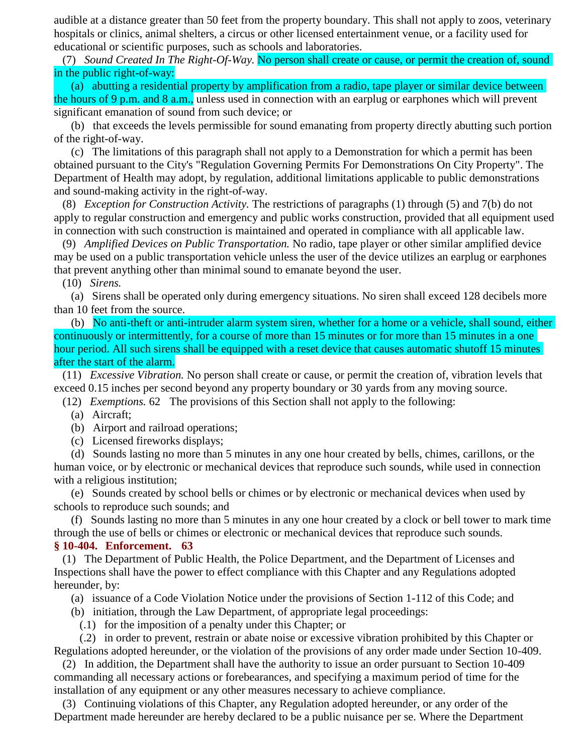audible at a distance greater than 50 feet from the property boundary. This shall not apply to zoos, veterinary hospitals or clinics, animal shelters, a circus or other licensed entertainment venue, or a facility used for educational or scientific purposes, such as schools and laboratories.

(7) *Sound Created In The Right-Of-Way.* No person shall create or cause, or permit the creation of, sound in the public right-of-way:

(a) abutting a residential property by amplification from a radio, tape player or similar device between the hours of 9 p.m. and 8 a.m., unless used in connection with an earplug or earphones which will prevent significant emanation of sound from such device; or

(b) that exceeds the levels permissible for sound emanating from property directly abutting such portion of the right-of-way.

(c) The limitations of this paragraph shall not apply to a Demonstration for which a permit has been obtained pursuant to the City's "Regulation Governing Permits For Demonstrations On City Property". The Department of Health may adopt, by regulation, additional limitations applicable to public demonstrations and sound-making activity in the right-of-way.

(8) *Exception for Construction Activity.* The restrictions of paragraphs (1) through (5) and 7(b) do not apply to regular construction and emergency and public works construction, provided that all equipment used in connection with such construction is maintained and operated in compliance with all applicable law.

(9) *Amplified Devices on Public Transportation.* No radio, tape player or other similar amplified device may be used on a public transportation vehicle unless the user of the device utilizes an earplug or earphones that prevent anything other than minimal sound to emanate beyond the user.

### (10) *Sirens.*

(a) Sirens shall be operated only during emergency situations. No siren shall exceed 128 decibels more than 10 feet from the source.

(b) No anti-theft or anti-intruder alarm system siren, whether for a home or a vehicle, shall sound, either continuously or intermittently, for a course of more than 15 minutes or for more than 15 minutes in a one hour period. All such sirens shall be equipped with a reset device that causes automatic shutoff 15 minutes after the start of the alarm.

(11) *Excessive Vibration.* No person shall create or cause, or permit the creation of, vibration levels that exceed 0.15 inches per second beyond any property boundary or 30 yards from any moving source.

- (12) *Exemptions.* 62 The provisions of this Section shall not apply to the following:
	- (a) Aircraft;
	- (b) Airport and railroad operations;
	- (c) Licensed fireworks displays;

(d) Sounds lasting no more than 5 minutes in any one hour created by bells, chimes, carillons, or the human voice, or by electronic or mechanical devices that reproduce such sounds, while used in connection with a religious institution;

(e) Sounds created by school bells or chimes or by electronic or mechanical devices when used by schools to reproduce such sounds; and

(f) Sounds lasting no more than 5 minutes in any one hour created by a clock or bell tower to mark time through the use of bells or chimes or electronic or mechanical devices that reproduce such sounds.

## **§ 10-404. Enforcement. 63**

(1) The Department of Public Health, the Police Department, and the Department of Licenses and Inspections shall have the power to effect compliance with this Chapter and any Regulations adopted hereunder, by:

(a) issuance of a Code Violation Notice under the provisions of Section 1-112 of this Code; and

- (b) initiation, through the Law Department, of appropriate legal proceedings:
	- (.1) for the imposition of a penalty under this Chapter; or

(.2) in order to prevent, restrain or abate noise or excessive vibration prohibited by this Chapter or Regulations adopted hereunder, or the violation of the provisions of any order made under Section 10-409.

(2) In addition, the Department shall have the authority to issue an order pursuant to Section 10-409 commanding all necessary actions or forebearances, and specifying a maximum period of time for the installation of any equipment or any other measures necessary to achieve compliance.

(3) Continuing violations of this Chapter, any Regulation adopted hereunder, or any order of the Department made hereunder are hereby declared to be a public nuisance per se. Where the Department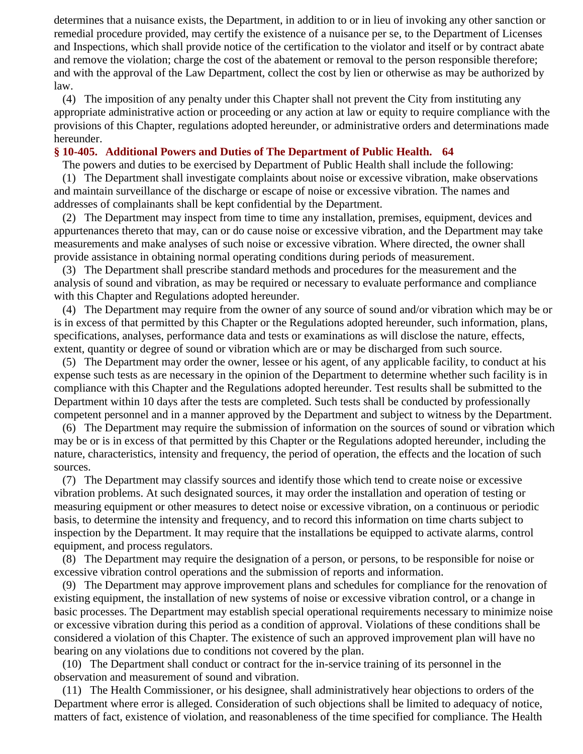determines that a nuisance exists, the Department, in addition to or in lieu of invoking any other sanction or remedial procedure provided, may certify the existence of a nuisance per se, to the Department of Licenses and Inspections, which shall provide notice of the certification to the violator and itself or by contract abate and remove the violation; charge the cost of the abatement or removal to the person responsible therefore; and with the approval of the Law Department, collect the cost by lien or otherwise as may be authorized by law.

(4) The imposition of any penalty under this Chapter shall not prevent the City from instituting any appropriate administrative action or proceeding or any action at law or equity to require compliance with the provisions of this Chapter, regulations adopted hereunder, or administrative orders and determinations made hereunder.

## **§ 10-405. Additional Powers and Duties of The Department of Public Health. 64**

The powers and duties to be exercised by Department of Public Health shall include the following:

(1) The Department shall investigate complaints about noise or excessive vibration, make observations and maintain surveillance of the discharge or escape of noise or excessive vibration. The names and addresses of complainants shall be kept confidential by the Department.

(2) The Department may inspect from time to time any installation, premises, equipment, devices and appurtenances thereto that may, can or do cause noise or excessive vibration, and the Department may take measurements and make analyses of such noise or excessive vibration. Where directed, the owner shall provide assistance in obtaining normal operating conditions during periods of measurement.

(3) The Department shall prescribe standard methods and procedures for the measurement and the analysis of sound and vibration, as may be required or necessary to evaluate performance and compliance with this Chapter and Regulations adopted hereunder.

(4) The Department may require from the owner of any source of sound and/or vibration which may be or is in excess of that permitted by this Chapter or the Regulations adopted hereunder, such information, plans, specifications, analyses, performance data and tests or examinations as will disclose the nature, effects, extent, quantity or degree of sound or vibration which are or may be discharged from such source.

(5) The Department may order the owner, lessee or his agent, of any applicable facility, to conduct at his expense such tests as are necessary in the opinion of the Department to determine whether such facility is in compliance with this Chapter and the Regulations adopted hereunder. Test results shall be submitted to the Department within 10 days after the tests are completed. Such tests shall be conducted by professionally competent personnel and in a manner approved by the Department and subject to witness by the Department.

(6) The Department may require the submission of information on the sources of sound or vibration which may be or is in excess of that permitted by this Chapter or the Regulations adopted hereunder, including the nature, characteristics, intensity and frequency, the period of operation, the effects and the location of such sources.

(7) The Department may classify sources and identify those which tend to create noise or excessive vibration problems. At such designated sources, it may order the installation and operation of testing or measuring equipment or other measures to detect noise or excessive vibration, on a continuous or periodic basis, to determine the intensity and frequency, and to record this information on time charts subject to inspection by the Department. It may require that the installations be equipped to activate alarms, control equipment, and process regulators.

(8) The Department may require the designation of a person, or persons, to be responsible for noise or excessive vibration control operations and the submission of reports and information.

(9) The Department may approve improvement plans and schedules for compliance for the renovation of existing equipment, the installation of new systems of noise or excessive vibration control, or a change in basic processes. The Department may establish special operational requirements necessary to minimize noise or excessive vibration during this period as a condition of approval. Violations of these conditions shall be considered a violation of this Chapter. The existence of such an approved improvement plan will have no bearing on any violations due to conditions not covered by the plan.

(10) The Department shall conduct or contract for the in-service training of its personnel in the observation and measurement of sound and vibration.

(11) The Health Commissioner, or his designee, shall administratively hear objections to orders of the Department where error is alleged. Consideration of such objections shall be limited to adequacy of notice, matters of fact, existence of violation, and reasonableness of the time specified for compliance. The Health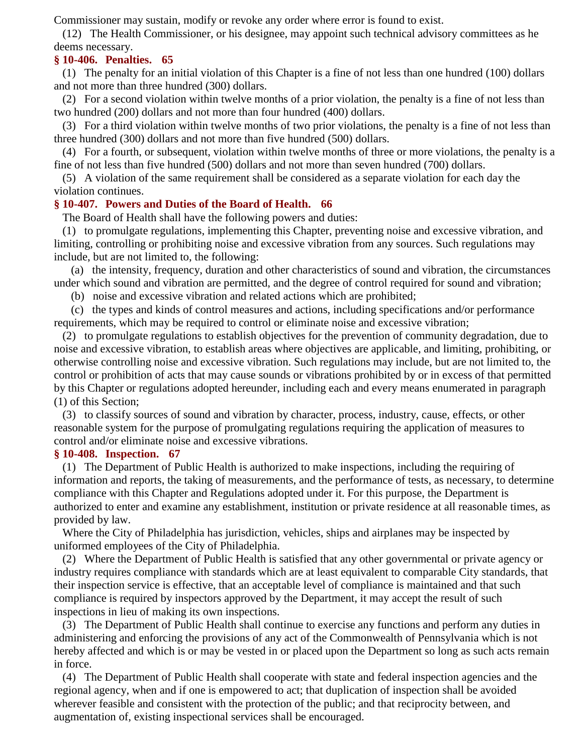Commissioner may sustain, modify or revoke any order where error is found to exist.

(12) The Health Commissioner, or his designee, may appoint such technical advisory committees as he deems necessary.

## **§ 10-406. Penalties. 65**

(1) The penalty for an initial violation of this Chapter is a fine of not less than one hundred (100) dollars and not more than three hundred (300) dollars.

(2) For a second violation within twelve months of a prior violation, the penalty is a fine of not less than two hundred (200) dollars and not more than four hundred (400) dollars.

(3) For a third violation within twelve months of two prior violations, the penalty is a fine of not less than three hundred (300) dollars and not more than five hundred (500) dollars.

(4) For a fourth, or subsequent, violation within twelve months of three or more violations, the penalty is a fine of not less than five hundred (500) dollars and not more than seven hundred (700) dollars.

(5) A violation of the same requirement shall be considered as a separate violation for each day the violation continues.

## **§ 10-407. Powers and Duties of the Board of Health. 66**

The Board of Health shall have the following powers and duties:

(1) to promulgate regulations, implementing this Chapter, preventing noise and excessive vibration, and limiting, controlling or prohibiting noise and excessive vibration from any sources. Such regulations may include, but are not limited to, the following:

(a) the intensity, frequency, duration and other characteristics of sound and vibration, the circumstances under which sound and vibration are permitted, and the degree of control required for sound and vibration;

(b) noise and excessive vibration and related actions which are prohibited;

(c) the types and kinds of control measures and actions, including specifications and/or performance requirements, which may be required to control or eliminate noise and excessive vibration;

(2) to promulgate regulations to establish objectives for the prevention of community degradation, due to noise and excessive vibration, to establish areas where objectives are applicable, and limiting, prohibiting, or otherwise controlling noise and excessive vibration. Such regulations may include, but are not limited to, the control or prohibition of acts that may cause sounds or vibrations prohibited by or in excess of that permitted by this Chapter or regulations adopted hereunder, including each and every means enumerated in paragraph (1) of this Section;

(3) to classify sources of sound and vibration by character, process, industry, cause, effects, or other reasonable system for the purpose of promulgating regulations requiring the application of measures to control and/or eliminate noise and excessive vibrations.

## **§ 10-408. Inspection. 67**

(1) The Department of Public Health is authorized to make inspections, including the requiring of information and reports, the taking of measurements, and the performance of tests, as necessary, to determine compliance with this Chapter and Regulations adopted under it. For this purpose, the Department is authorized to enter and examine any establishment, institution or private residence at all reasonable times, as provided by law.

Where the City of Philadelphia has jurisdiction, vehicles, ships and airplanes may be inspected by uniformed employees of the City of Philadelphia.

(2) Where the Department of Public Health is satisfied that any other governmental or private agency or industry requires compliance with standards which are at least equivalent to comparable City standards, that their inspection service is effective, that an acceptable level of compliance is maintained and that such compliance is required by inspectors approved by the Department, it may accept the result of such inspections in lieu of making its own inspections.

(3) The Department of Public Health shall continue to exercise any functions and perform any duties in administering and enforcing the provisions of any act of the Commonwealth of Pennsylvania which is not hereby affected and which is or may be vested in or placed upon the Department so long as such acts remain in force.

(4) The Department of Public Health shall cooperate with state and federal inspection agencies and the regional agency, when and if one is empowered to act; that duplication of inspection shall be avoided wherever feasible and consistent with the protection of the public; and that reciprocity between, and augmentation of, existing inspectional services shall be encouraged.